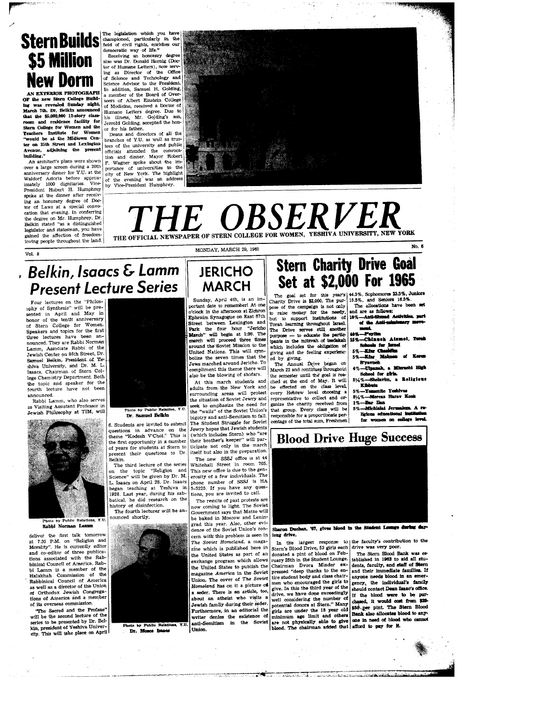# \$5 Million **New Dorm**

AN EXTERIOR PHOTOGRAPH OF the new Stern College Building was revealed Sunday night, March 7th. Dr. Belkin announced that the \$5,000,000 12-story classroom and residence facility for<br>Stern College for Women and the Teachers Institute for Women<br>"would be at the Midtown Center on 35th Street and Lexington Avenue, adjoining the present

An orchitect's plans were shown over a large screen during a 20th anniversary dinner for Y.U. at the Waldorf Astoria before approximately 1000 dignifaries. Viceimately 1000 dignitaries. Vice-<br>President Hubert H. Humphrey spoke at the dinner after receiving an honorary degree of Doctor of Laws at a special convo-<br>cation that evening. In conferring the degree on Mr. Humphrey. Dr. Belkin stated "as a distinguished location stated as a distinguished<br>legislator and statesman, you have<br>gained the affection of freedomloving people throughout the land.

**Stern Builds** The legislation which you have

democratic way of life."<br>Receiving an honorary degree<br>also was Dr. Donald Hornig (Docfor of Humane Letters), now serv ing as Director of the Office<br>of Science and Technology and Science Advisor to the President.<br>In addition, Samuel H. Golding, a member of the Board of Over-<br>seers of Albert Einstein College of Medicine, received a Doctor of Humane Letters degree. Due to his illness, Mr. Golding's son, Jerrold Golding, accepted the honor for his father.

Deans and directors of all the branches of Y.U. as well as trustees of the university and public officials attended the convoca-<br>tion and dinner. Mayor Robert F. Wagner spoke about the im-<br>portance of universities to the<br>city of New York. The highlight of the evening was an address<br>by Vice-President Humphrey.



### THE OBSERVE. VESHIVA UNIVERSITY, NEW YORK THE OFFICIAL NEWSPAPER OF STERN COLLEGE FOR WOMEN

MONDAY, MARCH 29, 1965

 $V_0$ ]  $R$ 

### **Belkin, Isaacs & Lamm Present Lecture Series**

Four lectures on the "Philos-<br>ophy of Synthesis" will be presented in April and May in honor of the tenth anniversary Stern College for Women. Speakers and topics for the first three lectures have been announced. They are Rabbi Norman Lamm, Associate Rabbi of the Jewish Center on 86th Street, Dr. Samuel Belkin, President of Yeshiva University, and Dr. M. L.<br>Isaacs, Chairman of Stern College Chemistry Department. Both the topic and speaker for the fourth lecture have not been announced

Rabbi Lamm, who also serves as Visiting Assistant Professor in Jewish Philosophy at TIM, will



Rabbi Norman Lamr

deliver the first talk tomorrow<br>at 7:30 P.M. on "Religion and<br>Morality". He is currently editor and co-editor of three publicabinical Council of America. Rabbi Lamm is a member of the Halakhah Commission of the as well as a director of the Union of Orthodox Jewish Congregations of America and a member of its overseas commission.

"The Sacred and the Profane will be the second lecture of the series to be presented by Dr. Belkin, president of Yeshiva University. This will take place on April



Dr. Samuel Belkin

6. Students are invited to submit questions in advance on the theme "Kodesh V'Chol." This is the first opportunity in a number of years for students at Stern to present their questions to Dr. Belkin.

The third lecture of the series on the topic "Religion and<br>Science" will be given by Dr. M. L. Isaacs on April 28. Dr. Isaacs Le issues on exprimery of the isaacs<br>began teaching at Yeshiva in<br>1928. Last year, during his sabbatical, he did research on the history of disinfection.

The fourth lecturer will be announced shortly.



Photo by Public Relations, Y.U. Dr. Moses Isaacs

### **JERICHO MARCH**

Sunday, April 4th, is an important date to remember! At one o'clock in the afternoon at Zichron Ephraim Synagogue on East 67th Street between Lexington and<br>Park the four hour "Jericho March" will begin at 1:30. The march will proceed three times ground the Soviet Mission to the United Nations. This will symbolize the seven times that the Jews marched around Jericho. To compliment this theme there will also be the blowing of shofars.

At this march students and<br>adults from the New York and surrounding areas will protest the situation of Soviet Jewry and seek to emphasize the need for the "walls" of the Soviet Union's bigotry and anti-Semitism to fall. The Student Struggle for Soviet Jewry hopes that Jewish students (which includes Stern) who "are their brother's keeper" will participate not only in the march itself but also in the preparation. The new SSSJ office is at 44

Whitehall Street in room 705. This new office is due to the generosity of a few individuals. The phone number of SSSJ is HA tions, you are invited to call.

The results of past protests are now coming to light. The Soviet Government says that Matzo will be baked in Moscow and Leningrad this year. Also, other evidence of the Soviet Union's concern with this problem is seen in The Soviet Homeland, a magazine which is published here in the United States as part of an exchange program which allows the United States to publish the magazine America in the Soviet Union. The cover of The Soviet Homeland has on it a picture of a seder. There is an article, too, about an atheist who visits a Jewish family during their seder. Furthermore, in an editorial the writer denies the existence of anti-Semitism in the Soviet Union.

## **Stern Charity Drive Goal** Set at \$2,000 For 1965

The goal set for this year's<br>
Charity Drive is  $$2,000$ . The purpose of the campaign is not only to raise money for the needy,<br>but to support institutions of<br>Torah learning throughout Israel. The Drive serves still another purpose - to educate the partic-<br>thants in the mitzvah of tsedakah<br>which includes the obligation of giving and the feeling experienced by giving.

ed by giving.<br>The Annual Drive began on<br>March 22 and continues throughout the semester until the goal is reached at the end of May. It will the effected on the class level, every Hebrew level choosing a representative to collect and organize the charity received from<br>that group. Every class will be responsible for a proportionate percentage of the total sum, Freshmen

44.5%, Sophornores 23.5%, Juniors 15.5%, and Seniors 16.5 The allocations have been set

No. B

**ROOM** 

and are as follows: Anti-Ahn ad Activities, nazi of the Anti-o **AZ7 20** 

-Perit

- -Chinneh Atsmei, Temb Schools for Israel<br>....Kfar Chashilm
- 5%-Kfar Malmon of B'yavneh
- Ulpanah, a Misrachi High School for girls. 21/4%-Shelavim, a Religious
- Kibbuts 5%-Yemenite Yeshives
- 21/2%-Mercas Harav Kook 1%-Bar lian<br>5%-Michialat Jerumlem. A re-
- **anal instit** ligious educati women on college level for

### **Blood Drive Huge Success**



Sharon Duchan, '67, gives blood in the Student Lounge during day iong drive.

In the largest response to Stern's Blood Drive, 53 girls each donated a pint of blood on February 25th in the Student Lounge. Chairman Dvora Minder ex-<br>pressed "deep thanks to the entire student body and class chairmen who encouraged the girls to give. In this the third year of the drive, we have done exceedingly considering the number of well potential donors at Stern." Many girls are under the 18 year old<br>minimum age limit and others are not physically able to give one in need of blood<br>blood. The chairman added that afford to pay for it.

e faculty's contribution to the drive was very poor.

The Stern Blood Bank was esablished in 1963 to aid all students, faculty, and staff of Stern and their immediate families. If anyone needs blood in an emergency, the individual's family should contact Dean Isaac's office. If the blood were to be pur-<br>chased, it would cost from \$25-\$50 per pint. The Stern Blood Bank also allocates blood to anyone in need of blood who cannot

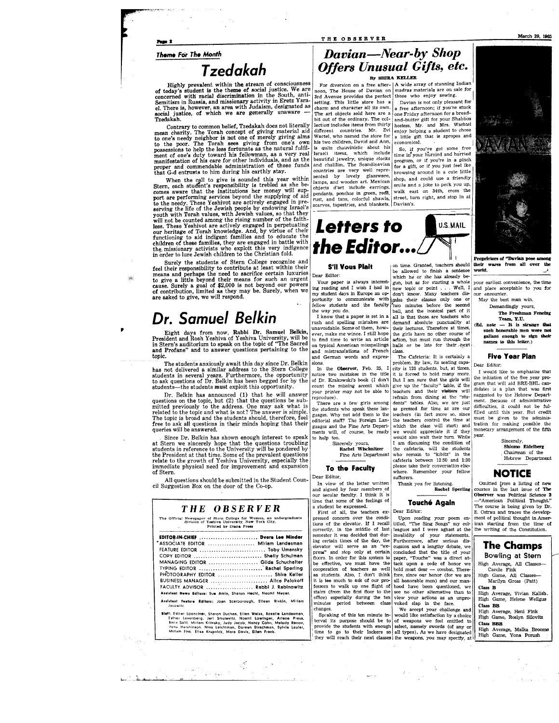#### THE OBSERVER

Page 2

#### **Theme For The Month**

### *Tzedakah*

of today's student is the therme of social justice. We are<br>concerned with racial discrimination in the South, anti-<br>Semitism in Russia, and missionary activity in Eretz Ysra-<br>Semitism in Russia, and missionary activity in

Tzedakah.<br>
Tzedakah mental and hot of the ordinary. The col- and-butter gift for your Shabbos<br>
Contrary to common belief, Tzedakah does not literally lection includes items from thirty hostess. Mr. and Mrs. Wachtel<br>
mean c Contrary to common belief, Tzedakah does not literally lection include sitems from thirty hostess. Mr. and Mrs. Wachtel mean charity and the present of the property of the property of the property of the property of the p ment of one's duty toward his fellowman, as a very real Israeli tiems, which include time in your hurried and harried<br>manifestation of his care for other individuals, and as the leautiful jewelry, unique clocks time in pro

that G-d entrusts to nim during his earthly stay.<br>
When the coll to give glassware, browsing around in a cute interest<br>
Stern, each student's responsibility is trebled as she be-<br>
Stern, each student's responsibility is tr your finite counted among the rising number of the faith-<br>less. These Yeshivot are actively engaged in perpetuating<br>functioning to aid indigent families and to educate the<br>functioning to aid indigent families and to educat

Surely the students of Stern College recognize and<br>feel their responsibility to contribute at least within their **S'il Vous Plait**<br>means and perhaps the need to sacrifice certain luxuries<br>to give a little beyond their mea

### *Dr. Samuel Belkin*

Eight days from now, Rabbi Dr. Samuel Belkin, President and Rosh Yeshiva of Yeshiva University, will be in Stern's auditorium to speak on the topic of "The Sacred and Profane" and to answer questions pertaining to the topic.

Ine students anxiously await this day since Dr. Benkin has not delivered a similar address to the Stern College students in several years. Furthermore, the opportunity to ask questions of Dr. Belkin has been begged for by The students anxiously await this day since Dr. Belkin students-the students **must** exploit this opportunity.

Dr. Belkin has announced (1) that he will answer questions on the topic, but (2) that the questions be sub-mitted previously to the address. One may ask what is related to the topic and what is not? The answer is simple. The topic is broad and the students should, therefore, feel free to ask all questions in their minds hoping that their queries will be answered.

Since Dr. Belkin has shown enough interest to speak at Stern we sincerely hope that the questions troubling<br>students in reference to the University will be pondered by<br>the President at that time. Some of the prevalent questions<br>relate to the growth of Yeshiva University, es immediate physical need for improvement and expansion of Stern.

All questions should be submitted in the Student Coun-<br>cil Suggestion Box on the door of the Co-op.<br> $\frac{1}{2}$  In view of second is

#### **THE OBSERVER**

The Official Newspaper of Rtern College for Women, an undergraduate division of Yearn College for Women Tork City.<br>division of Yeshiva. University, New York City.

| EDITOR-IN-CHIEF  Dvora Lee Minder                                               |  |  |  |
|---------------------------------------------------------------------------------|--|--|--|
| "ASSOCIATE EDITOR  Miriam Landesman                                             |  |  |  |
| FEATURE EDITOR  Toby Umansky                                                    |  |  |  |
| COPY EDITOR  Shelly Schulman                                                    |  |  |  |
| MANAGING EDITOR  Gilda Schuchalter                                              |  |  |  |
| TYPING EDITOR  Rachel Sperling                                                  |  |  |  |
| PHOTOGRAPHY EDITOR  Shira Keller                                                |  |  |  |
| BUSINESS MANAGER  Alice Palokoff                                                |  |  |  |
| FACULTY ADVISOR  Rabbi J. Rabinowitz                                            |  |  |  |
| Assistant News Editors: Sue Amin. Sharon Hecht, Naomi Meyer.                    |  |  |  |
| Assistant Feature Editors: Joan Scarborough, Elleen Rivkin, Mirlam<br>Josowitz. |  |  |  |

### *Davian-Near·by Shop Offers Unusual Gifts, etc.*  By **SIIIRA** KELLER

For diversion on a free after-  $|A$  wide array of stunning Indian<br>bon, The House of Davian on madras materials are on sale for

browsing around in a cute little<br>shop, and could use a friendly

countries are very well repre-<br>sented by lovely glassware,<br>lamps, and wooden art. Mexican



unavoidable. Some of them, how- their lectures. Therefore at times ever, make me wince. I still hope the girls have no other course of ever, make me wince. I still hope  $\begin{bmatrix} \text{true} & \text{true} & \text{true} & \text{true} & \text{true} & \text{other} & \text{course} & \text{of} \\ \text{to find time to write an article } & \text{action, but must run through the} & \end{bmatrix}$ to find time to write an article action, but must run through the on typical American misspellings halls or be late for their next on typical American misspellings halls or be late for their pext and mistranslations of French class. mistranslations of French and German words and expres- The Cafeteria: It is certainly a

notice two mistakes in the title it is forced to hold many more.<br>of Dr. Krakowski's book (I don't But I am sure that the girls will of Dr. Krakowski's book (I don't count the missing accent which count the missing accent which give up the "faculty" table, if the your printer may not be able to teachers and their **visitors** will

the students who speak these lan-<br>guages. Why not add them to the guages. Why not add them to the teachers (in fact more so, since editorial staff? The Foreign Lan- the teachers control the time at

#### **To the Faculty**

In view of the letter written<br>and signed by four members of<br>our secular faculty. I think it is time that some of the feelings of a student be expressed.

First of all, the teachers expressed concern over the conditions of the elevator. If I recall correctly, in the middle of last semester it was decided that dur- ing certain times of the day, the elevator will serve as an "express" and stop only at certain<br>floors. In order for this system to effective, we must have the cooperation of teachers as well as students. Also, I don't think it is too much to ask of our professors to walk up one flight stairs (from the first floor to the office) especially during the ten minutes period between class changes.

be allowed to finish a sentence which he or she has already be-Your paper is always interest-<br> $\begin{bmatrix} \frac{1}{2} & \frac{1}{2} & \frac{1}{2} & \frac{1}{2} \\ \frac{1}{2} & \frac{1}{2} & \frac{1}{2} & \frac{1}{2} \\ \frac{1}{2} & \frac{1}{2} & \frac{1}{2} & \frac{1}{2} \end{bmatrix}$  reading and I wish I had in new topic or point . . . Well, I ing reading and I wish I had in <sub>new</sub> topic or point . . . Well, I<br>my student days in Europe an op- don't know. Many teachers dis-<br>portunity to communicate with <sub>i</sub>\miss their classes only one or fellow students and the faculty Ytwo minutes before the second<br>the way you do.<br>I know that a paper is set in a all is that these are teachers who the way you do.  $\vert$  bell, and the ironical part of it I know that a paper is set in a all is that these are teachers who rush and spelling mistakes are demand absolute punctuality at unavoidable. Some of them, how-

sions. problem. By law, its seating capa In the **Observer**, Feb. 25, I city is 120 students, but, at times otice two mistakes in the title it is forced to hold many more your printer may not be able to teachers and their **visitors** will<br>reproduce). The refrain from dining at the "stu-There are a few girls among dents" tables. Also, we are just<br>e students who speak these lan- as pressed for time as are our editorial staff? The Foreign Lan- the teachers control the time at<br>guages and the Fine Arts Depart- which the class will start) and ments will, of course, be ready we would appreciate it if they to help too.<br>Sincerely yours, and their turn. While<br>I am discussing the condition of overely yours, I am discussing the condition of Rachel Wischnitzer the cafeteria, will the students **Rachel Wischnitzer the cafeteria, will the students Fine Arts Department who remain to "kibitz" in the** cafeteria between 12:50 and 1:30 please take their conversation elsewhere. Remember your fellow sufferers.

> Thank you for listening, Raebel Sperling

#### **Touche Again**

Dear Editor:

Upon reading your poem en-titled, ''The Sing Songs" my col· leagues and I were aghast at the myalidity of your statements.<br>Furthermore, after serious dis-<br>cussion and a lengthy debate, we **The Champs** concluded that the title of your<br>paper, "Touche" was a direct attack upon a code of honor we hold most dear  $-$  combat. Therefore, since our honor (for we are all honorable men) and our manhood have been questioned, we see no other alternative than to view your actions as an unprovoked slap in the face.



wares from all over the world.

your earliest convenience, the time and place acceptable to you for our encounter.

May the best man win, Demandingly yours,

The Freshman Fencing Team, Y.U.

 $(Ed. note - It is strange that$ such honorable men were not gallant eneuzh 'to sign. their names to this letter.)

#### Five Year Plan

Dear Editor:

I would like to emphasize that the initiation of the five year program that will aid BRE-BHL candidates is a plan that was first suggested by the Hebrew Department. Because of administrative difficulties, it could not be fulfiUed until this year. But credit must be given to the adminis-tration :for making possible the monetary arrangement of the fifth year.

#### Sincerely,<br>**Shlomo Eidelberg**

Chairman of the Hebrew Department

#### **NOTICE**

Omitted from a listing of new courses in the last issue of The Observer was Political Science 2 -"American Political Thought." The course is being given by Dr. E. Ostrau and traces the development of political thought in American starting from the time of the writing of the Constitution.

| ASSOCIATE EDITOR  Miriam Landesman<br>FEATURE EDITOR  Toby Umansky<br>COPY EDITOR  Shelly Schulman<br>MANAGING EDITOR  Gilda Schuchalter<br>TYPING EDITOR  Rachel Sperling<br>PHOTOGRAPHY EDITOR  Shira Keller<br>BUSINESS MANAGER  Alice Palokoff<br>FACULTY ADVISOR  Rabbi J. Rabinowitz<br>Assistant News Editors: Sue Amin, Sharon Hecht, Naomi Meyer.<br>Assistant Feature Editors: Joan Scarborough, Elleen Rivkin, Mirlam<br>Josowitz.<br>Staff: Esther Spenciner, Sharon Duchan, Ellen Weiss, Rosalle Landesman,<br>Esther Levenberg, Jarl Smulevitz, Noemi Lowinger, Arlene Press,<br>Baila Satit, Mirlam Krimsky, Judy Jacob, Nancy Cohn, Melody Renov,<br>Hene Hershinson, Nina Leichtman, Doreen Strachman, Sylvia Laufer,<br>Mirlam Fink, Elisa Krupnick, Mara Davis, Ellen Frank. | minutes period between class voked slap in the face.<br>changes. | ing certain times of the day, the Furthermore, after serious dis-<br>elevator will serve as an "ex- cussion and a lengthy debate, we<br>press" and stop only at certain concluded that the title of your<br>floors. In order for this system to paper, "Touche" was a direct at-<br>be effective, we must have the tack upon a code of honor we<br>cooperation of teachers as well hold most dear - combat. There-<br>as students. Also, I don't think fore, since our honor (for we are<br>it is too much to ask of our pro- all honorable men) and our man-<br>fessors to walk up one flight of hood have been questioned, we<br>stairs (from the first floor to the see no other alternative than to<br>office) especially during the ten view your actions as an unpro-<br>We accept your challenge and<br>Spraking of this ten minute in- would like satisfaction by a choice<br>terval its purpose should be to of weapons we feel entitled to<br>provide the students with enough select, namely swords (of any or<br>time to go to their lockers so all types). As we have designated | <b>The Champs</b><br>Bowling at Stern<br>High Average, All Classes-<br>Carole Fink<br>High Game, All Classes-<br>Marilyn Gross (Patt)<br>Class B<br>High Average, Vivian Kalish.<br>High Game, Helene Weilgus<br>Class BB<br>High Average, Heni Fink<br>High Game, Roslyn Silovitz<br>Class <b>BBB</b><br>High Average, Malka Broome |
|-------------------------------------------------------------------------------------------------------------------------------------------------------------------------------------------------------------------------------------------------------------------------------------------------------------------------------------------------------------------------------------------------------------------------------------------------------------------------------------------------------------------------------------------------------------------------------------------------------------------------------------------------------------------------------------------------------------------------------------------------------------------------------------------------|------------------------------------------------------------------|-----------------------------------------------------------------------------------------------------------------------------------------------------------------------------------------------------------------------------------------------------------------------------------------------------------------------------------------------------------------------------------------------------------------------------------------------------------------------------------------------------------------------------------------------------------------------------------------------------------------------------------------------------------------------------------------------------------------------------------------------------------------------------------------------------------------------------------------------------------------------------------------------------------------------------------------------------------------------------------------------------------------------------------------------------------------------------------------------|--------------------------------------------------------------------------------------------------------------------------------------------------------------------------------------------------------------------------------------------------------------------------------------------------------------------------------------|
|                                                                                                                                                                                                                                                                                                                                                                                                                                                                                                                                                                                                                                                                                                                                                                                                 |                                                                  | they will reach their next classes the weapons, you may specify, at it                                                                                                                                                                                                                                                                                                                                                                                                                                                                                                                                                                                                                                                                                                                                                                                                                                                                                                                                                                                                                        | High Game, Yona Porush                                                                                                                                                                                                                                                                                                               |
|                                                                                                                                                                                                                                                                                                                                                                                                                                                                                                                                                                                                                                                                                                                                                                                                 |                                                                  |                                                                                                                                                                                                                                                                                                                                                                                                                                                                                                                                                                                                                                                                                                                                                                                                                                                                                                                                                                                                                                                                                               |                                                                                                                                                                                                                                                                                                                                      |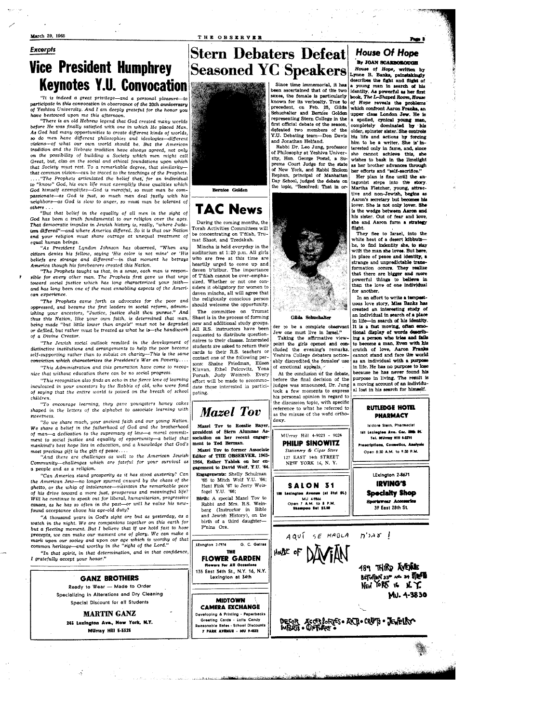#### THE OBSERVER

#### March 29, 1965 **Excerpts**

### **Vice President Humphrey Keynotes Y.U. Convocation**

It is indeed a great privilege—and a personal pleasure participate in this convocation in observance of the 20th anniversary of Yeshiva University. And I am deeply grateful for the honor you have bestowed upon me this afternoon

mare vestowed upon the comparation.<br>"There is an old Hebrew legend that God created many worlds<br>before He was finally satisfied with one in which He placed Man. As God had many opportunities to create different kinds of worlds, so do men have different philosophies and ideologies-different visions-of what our own world should be. But the American tradition and the Hebraic tradition have always agreed, not only<br>on the possibility of building a Society which men might call Great, but, also on the social and ethical foundations upon which that Society must rest. To a remarkable degree, that similaritythat common vision-can be traced to the teachings of the Prophets. "The Prophets articulated the belief that, for an individual "know" God, his own life must exemplify those qualities which  $\ddot{t}$ God himself exemplifies-God is merciful, so must man be com-<br>passionate-as God is just, so much man deal justly with his eighbors-as God is slow to anger, so must man be tolerant of  $others$ 

"But that belief in the equality of all men in the sight of God has been a truth fundamental to our religion over the ages. That democratic impulse in Jewish history is, really, "where Judaism differed"-and where America differed. So it is that our Nation and your religion must share outrage at unequal treatment of equal human beings.

"As President Lyndon Johnson has observed, "When any as President Lyndon somison this coserved, when any<br>chitzen denies his fellow, saying 'His color is not mine' or 'His<br>beliefs are strange and different'—in that moment he betrays America though his forebearers created this Nation.

"The Prophets taught us that, in a sense, each man is respon sible for every other man. The Prophets first gave us that urge toward social justice which has long characterized your faithand has long been one of the most ennobling aspects of the American experience.

"The Prophets came forth as advocates for the poor and "The Prophets came forth as advocates for the poor and<br>oppressed, and became the first leaders in social reform, admon-<br>ishing your ancestors, "Justice, justice shalt thou pursue." And<br>thus this Nation, like your own faith or defiled, but rather must be treated as what he is-the handiwork of a Divine Creator.

'The Jewish social outlook resulted in the development of distinctive institutions and arrangements to help the poor become self-supporting rather than to subsist on charity-This is the same conviction which characterizes the President's War on Poverty....

'This Administration and this generation have come to recognize that without education there can be no social progress.

"This recognition also finds an echo in the fierce love of learning inculcated in your ancestors by the Rabbis of old, who were fond of saying that the entire world is poised on the breath of school children.

"To encourage learning, they gave youngsters honey cakes<br>shaped in the letters of the alphabet to associate learning with sweetness.

"So we share much, your ancient faith and our young Nation. We share a belief in the fatherhood of God and the brotherhood of man-a dedication to the supremacy of law-a moral commitment to social justice and equality of opportunity-a belief that mankind's best hope lies in education, and a knowledge that God's most precious gift is the gift of peace..

And there are challenges as well to the American Jewish Community-challenges which are fateful for your survival as a people and as a religion.

"Can America stand prosperity as it has stood austerity? Can the American Jew-no longer spurred onward by the chaos of the ghetto, or the whip of intolerance-maintain the remarkable pace of his drive toward a more just, prosperous and meaningful life? Will he continue to speak out for liberal, humanitarian, progressive causes, as he has so often in the past-or will he value his newfound acceptance above his age-old duty?

"A thousand years in God's sight are but as yesterday, as watch in the night. We are companions together on this earth for but a fleeting moment. But I believe that if we hold fast to hose precepts, we can make our moment one of glory. We can make a mark upon our sociey and upon our age which is worthy of that<br>common heritage—and worthy in the "sight of the Lord."

"In that spirit, in that determination, and in that confidence, I gratefully accept your honor."



**MARTIN GANZ** 245 Lexington Ave., New York, N.Y. MUrray Hill 5-3328

J.





**TAC News** During the coming months, the Torah Activities Committees will

be concentrating on T'filah, Trumat Shaot, and Tzedakah. Mincha is held everyday in the

auditorium at 1:20 p.m. All girls who are free at this time are heartily urged to come up and daven b'tzibur. The importance of T'filah cannot be over-emphasized. Whether or not one considers it obligatory for women to daven mincha, all will agree that the religiously conscious person should welcome the opportunity.

The committee on Trumat Shaot is in the process of forming new and additional study groups All R.S. instructors have been requested to distribute question naires to their classes. Interested students are asked to return their cards to their R.S. teachers or contact one of the following persons: Shaine Friedman, Eileen Klavan, Ethel Pelcovitz, Yona<br>Porush, Judy Weinreb. Every effort will be made to accommo date those interested in participating.



been ascertained that of the two

sexes, the female is particularly known for its verbosity. True to

precedent, on Feb. 25, Gilda<br>Schuchalter and Bernice Golden

representing Stern College in the

flepi escatting because of the season,

defeated two members of the

Y.U. Debating team—Don Davis

Rabbi Dr. Leo Jung, professor

of Philosophy at Yeshiva Univer-

sity, Hon. George Postel, a Su-

of New York, and Babbi Sholom

Rephun, principal of Manhattan

Day School, judged the debate on<br>the topic, "Resolved: That in or-

and Jonathan Helfand.

#### Gilda Schuch

der to be a complete obse Van' Jew one must live in Israel."<br>Taking the affirmative view

point the girls opened and concluded the evening's remarks. Yeshiva College debaters noticeably discredited the females' use of emotional appeals,

At the conclusion of the debate before the final decision of the judges was announced, Dr. Jung took a few moments to express his personal opinion in regard to the discussion topic, with specific reference to what he referred to as the misuse of the word ortho doxy.

> MUrray Hill 4-9023 - 9024 **PHILIP SINOWITZ** Stationery & Cigar Store 127 EAST 34th STREET

SALON 31 .<br>188 Lexington Avenue (at Stat St.) MU 49866<br>Dpen 7 A.M. to 8 P.<br>Shampoo Set \$2.50

AQUÍ SE HABLA HOLSE OF

#### **House Of Hope By JOAN SCARSOROTOR**

Page 3

House of Hope, written by Lynne R. Banks, painstakingly<br>Lynne R. Banks, painstakingly<br>describes the fight and flight of young man in search of his identity. As powerful as her first<br>book, The L-Shaped Room, House of Hope reveals the problems<br>which confront Aaron Franks, an upper class London Jew. He is completely dominated by mis<br>older, spinster sister. She controls his life and actions by forcing him to be a writer. She is interested only in fame, and, since she cannot achieve this, she as her brother advances through her efforts and "self-sacrifice."

Her plan is fine until the antagonist steps into the story. Martha Fletcher, young, attractive and non-Jawish, hegins as Aaron's secretary but becomes his lover. She is not only lover. She is the wedge between Aaron and his sister. Out of fear and love she and Aaron form a strategy flight.

They flee to Israel, into the white heat of a desert kibbutzhe, to find indentity she, to stay with the man she loves. But here, in place of peace and identity, a strange and unpredictable trax formation occurs. They realize that there are bigger and more powerful things to believe in for another.

In an effort to write a temp uous love story, Miss Banks has created an interesting study of an individual in search of a place<br>in life-in search of his identity. It is a fast moving, often emotional disnlay of words des eribing a person who tries and fails to become a man. Even with his crutch of love, Aaron Franks cannot stand and face the world<br>as an individual with a purpose in life. He has no purpos  $+$   $\sim$   $1$ nee because he has never found his purpose in living. The result is a moving account of an individual lost in his search for himself.





Mazel Tov to Rosalie Bayer president of Stern Alun melation on her recent engagement to Ted Berman.

Mazel Toy to former Associate Editor of THE OBSERVER, 1963-1964, Esther Yablok on her ex gagement to David Wolf, Y.U. '64.

Engagements: Shelly Schulman '65 to Mitch Wolf Y.U. '64;<br>Heni Fink '67 to Jerry Weisfogel Y.U. '66;

Birth: A special Mazel Tov to Rabbi and Mrs. R.S. Weinberg (Instructor in Bible and Jewish History), on the birth of a third daughter-P'nina Ora.

THE **FLOWER GARDEN** 

ers For All Occa

135 East 34th St., N.Y. 16, N.Y.

Lexington at 34th

**MIDTOWN** 

**CAMERA EXCHANGE** 

eveloping & Printing - Paperback:

Greeting Cards - Lotts Candy

7 PARK AVENUE - MU 9-4532

sble Rates - School Discount

G. C. Gatras

LExngton 2-7974